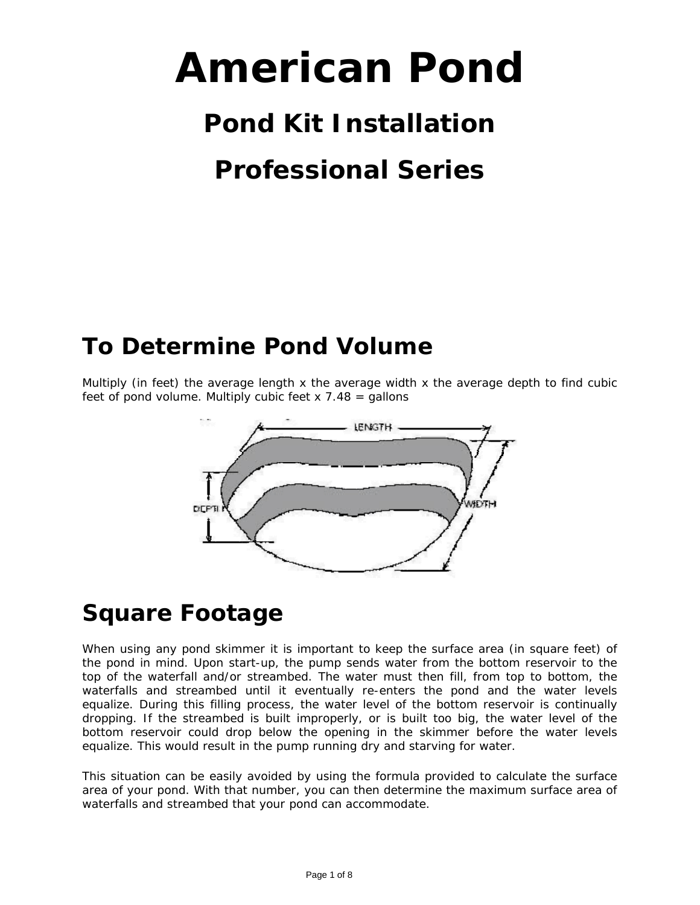# **American Pond**

# **Pond Kit Installation**

# **Professional Series**

## **To Determine Pond Volume**

Multiply (in feet) the average length  $x$  the average width  $x$  the average depth to find cubic feet of pond volume. Multiply cubic feet  $x$  7.48 = gallons



#### **Square Footage**

When using any pond skimmer it is important to keep the surface area (in square feet) of the pond in mind. Upon start-up, the pump sends water from the bottom reservoir to the top of the waterfall and/or streambed. The water must then fill, from top to bottom, the waterfalls and streambed until it eventually re-enters the pond and the water levels equalize. During this filling process, the water level of the bottom reservoir is continually dropping. If the streambed is built improperly, or is built too big, the water level of the bottom reservoir could drop below the opening in the skimmer before the water levels equalize. This would result in the pump running dry and starving for water.

This situation can be easily avoided by using the formula provided to calculate the surface area of your pond. With that number, you can then determine the maximum surface area of waterfalls and streambed that your pond can accommodate.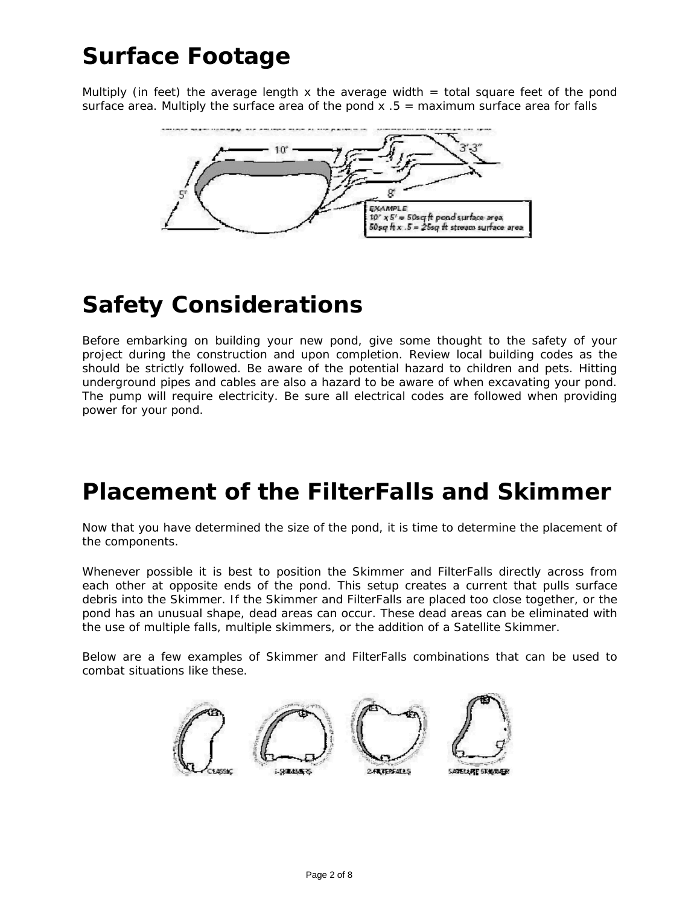# **Surface Footage**

Multiply (in feet) the average length x the average width  $=$  total square feet of the pond surface area. Multiply the surface area of the pond  $x .5 =$  maximum surface area for falls



## **Safety Considerations**

Before embarking on building your new pond, give some thought to the safety of your project during the construction and upon completion. Review local building codes as the should be strictly followed. Be aware of the potential hazard to children and pets. Hitting underground pipes and cables are also a hazard to be aware of when excavating your pond. The pump will require electricity. Be sure all electrical codes are followed when providing power for your pond.

#### **Placement of the FilterFalls and Skimmer**

Now that you have determined the size of the pond, it is time to determine the placement of the components.

Whenever possible it is best to position the Skimmer and FilterFalls directly across from each other at opposite ends of the pond. This setup creates a current that pulls surface debris into the Skimmer. If the Skimmer and FilterFalls are placed too close together, or the pond has an unusual shape, dead areas can occur. These dead areas can be eliminated with the use of multiple falls, multiple skimmers, or the addition of a Satellite Skimmer.

Below are a few examples of Skimmer and FilterFalls combinations that can be used to combat situations like these.

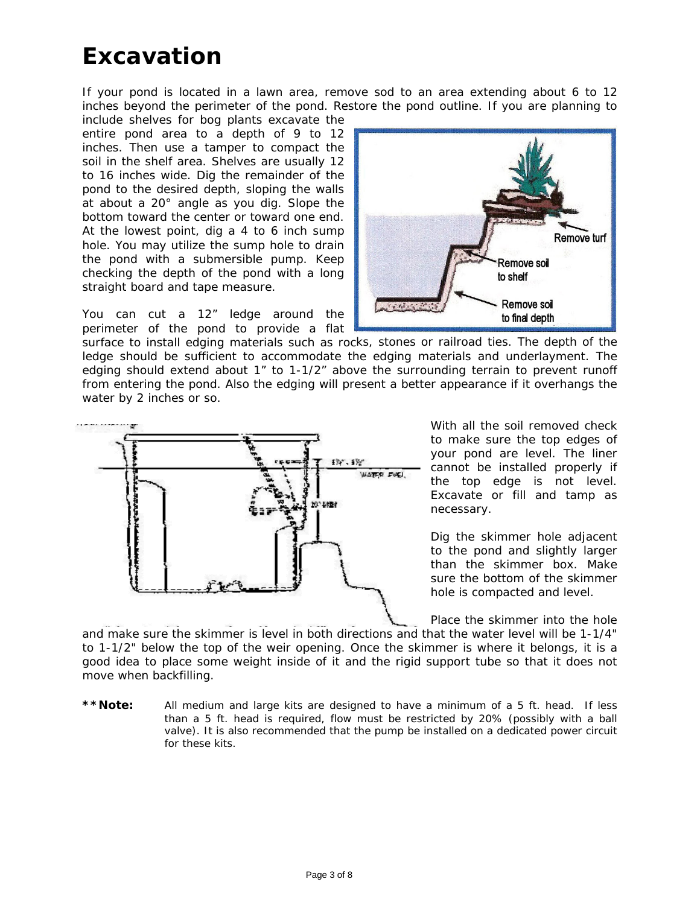#### **Excavation**

If your pond is located in a lawn area, remove sod to an area extending about 6 to 12 inches beyond the perimeter of the pond. Restore the pond outline. If you are planning to

include shelves for bog plants excavate the entire pond area to a depth of 9 to 12 inches. Then use a tamper to compact the soil in the shelf area. Shelves are usually 12 to 16 inches wide. Dig the remainder of the pond to the desired depth, sloping the walls at about a 20° angle as you dig. Slope the bottom toward the center or toward one end. At the lowest point, dig a 4 to 6 inch sump hole. You may utilize the sump hole to drain the pond with a submersible pump. Keep checking the depth of the pond with a long straight board and tape measure.

You can cut a 12" ledge around the perimeter of the pond to provide a flat



surface to install edging materials such as rocks, stones or railroad ties. The depth of the ledge should be sufficient to accommodate the edging materials and underlayment. The edging should extend about 1" to 1-1/2" above the surrounding terrain to prevent runoff from entering the pond. Also the edging will present a better appearance if it overhangs the water by 2 inches or so.



With all the soil removed check to make sure the top edges of your pond are level. The liner cannot be installed properly if the top edge is not level. Excavate or fill and tamp as necessary.

Dig the skimmer hole adjacent to the pond and slightly larger than the skimmer box. Make sure the bottom of the skimmer hole is compacted and level.

Place the skimmer into the hole

and make sure the skimmer is level in both directions and th at the water level will be 1-1/4" to 1-1/2" below the top of the weir opening. Once the skimmer is where it belongs, it is a good idea to place some weight inside of it and the rigid support tube so that it does not move when backfilling.

**\*\*Note:** *All medium and large kits are designed to have a minimum of a 5 ft. head. If less than a 5 ft. head is required, flow must be restricted by 20% (possibly with a ball valve). It is also recommended that the pump be installed on a dedicated power circuit for these kits.*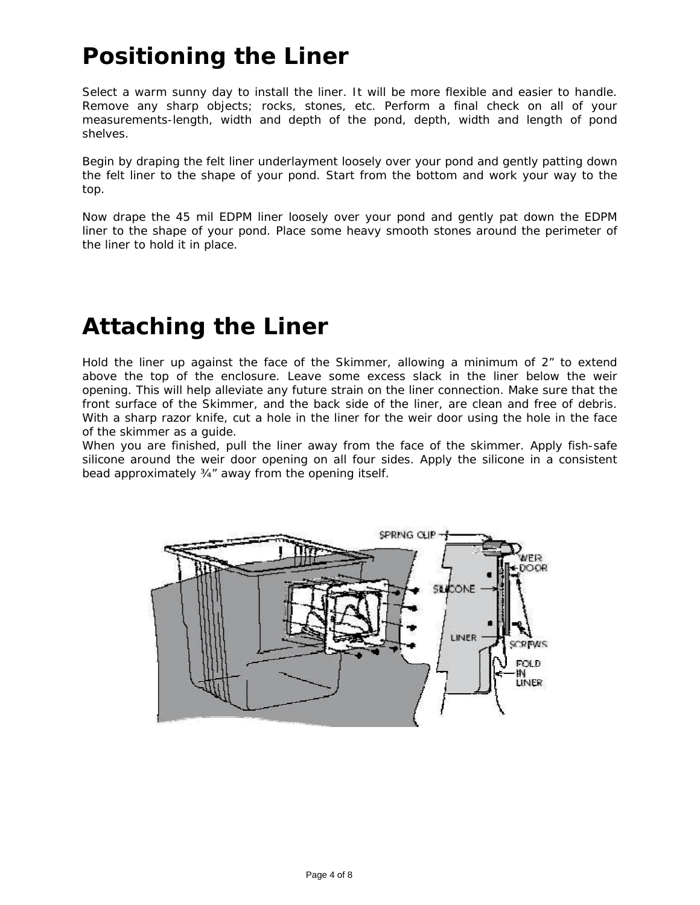# **Positioning the Liner**

Select a warm sunny day to install the liner. It will be more flexible and easier to handle. Remove any sharp objects; rocks, stones, etc. Perform a final check on all of your measurements-length, width and depth of the pond, depth, width and length of pond shelves.

Begin by draping the felt liner underlayment loosely over your pond and gently patting down the felt liner to the shape of your pond. Start from the bottom and work your way to the top.

Now drape the 45 mil EDPM liner loosely over your pond and gently pat down the EDPM liner to the shape of your pond. Place some heavy smooth stones around the perimeter of the liner to hold it in place.

#### **Attaching the Liner**

Hold the liner up against the face of the Skimmer, allowing a minimum of 2" to extend above the top of the enclosure. Leave some excess slack in the liner below the weir opening. This will help alleviate any future strain on the liner connection. Make sure that the front surface of the Skimmer, and the back side of the liner, are clean and free of debris. With a sharp razor knife, cut a hole in the liner for the weir door using the hole in the face of the skimmer as a guide.

When you are finished, pull the liner away from the face of the skimmer. Apply fish-safe silicone around the weir door opening on all four sides. Apply the silicone in a consistent bead approximately ¾" away from the opening itself.

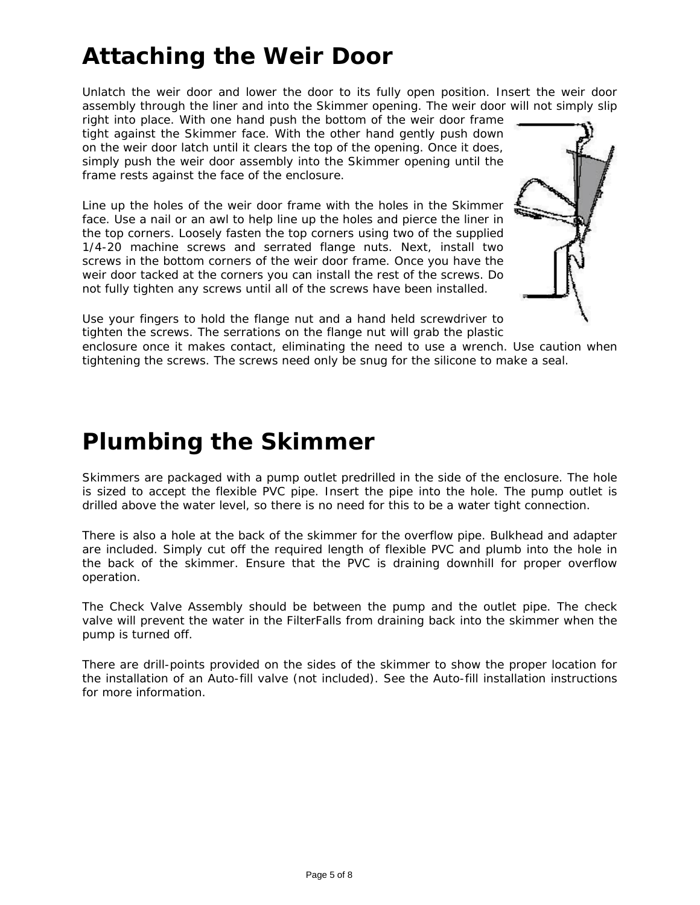# **Attaching the Weir Door**

Unlatch the weir door and lower the door to its fully open position. Insert the weir door assembly through the liner and into the Skimmer opening. The weir door will not simply slip

right into place. With one hand push the bottom of the weir door frame tight against the Skimmer face. With the other hand gently push down on the weir door latch until it clears the top of the opening. Once it does, simply push the weir door assembly into the Skimmer opening until the frame rests against the face of the enclosure.

Line up the holes of the weir door frame with the holes in the Skimmer face. Use a nail or an awl to help line up the holes and pierce the liner in the top corners. Loosely fasten the top corners using two of the supplied 1/4-20 machine screws and serrated flange nuts. Next, install two screws in the bottom corners of the weir door frame. Once you have the weir door tacked at the corners you can install the rest of the screws. Do not fully tighten any screws until all of the screws have been installed.



Use your fingers to hold the flange nut and a hand held screwdriver to tighten the screws. The serrations on the flange nut will grab the plastic

enclosure once it makes contact, eliminating the need to use a wrench. Use caution when tightening the screws. The screws need only be snug for the silicone to make a seal.

#### **Plumbing the Skimmer**

Skimmers are packaged with a pump outlet predrilled in the side of the enclosure. The hole is sized to accept the flexible PVC pipe. Insert the pipe into the hole. The pump outlet is drilled above the water level, so there is no need for this to be a water tight connection.

There is also a hole at the back of the skimmer for the overflow pipe. Bulkhead and adapter are included. Simply cut off the required length of flexible PVC and plumb into the hole in the back of the skimmer. Ensure that the PVC is draining downhill for proper overflow operation.

The Check Valve Assembly should be between the pump and the outlet pipe. The check valve will prevent the water in the FilterFalls from draining back into the skimmer when the pump is turned off.

There are drill-points provided on the sides of the skimmer to show the proper location for the installation of an Auto-fill valve (not included). See the Auto-fill installation instructions for more information.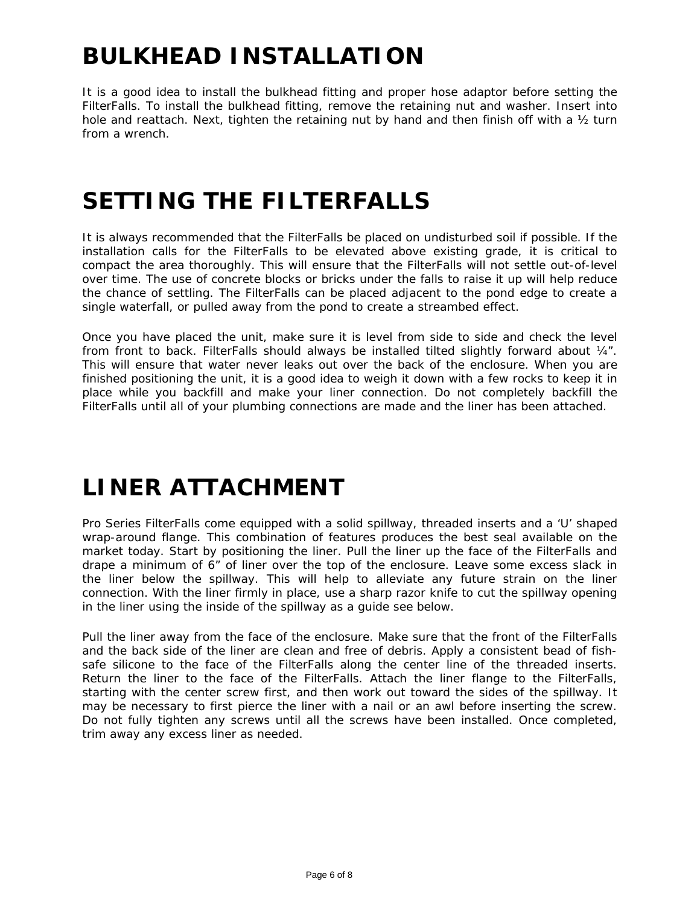# **BULKHEAD INSTALLATION**

It is a good idea to install the bulkhead fitting and proper hose adaptor before setting the FilterFalls. To install the bulkhead fitting, remove the retaining nut and washer. Insert into hole and reattach. Next, tighten the retaining nut by hand and then finish off with a  $\frac{1}{2}$  turn from a wrench.

#### **SETTING THE FILTERFALLS**

It is always recommended that the FilterFalls be placed on undisturbed soil if possible. If the installation calls for the FilterFalls to be elevated above existing grade, it is critical to compact the area thoroughly. This will ensure that the FilterFalls will not settle out-of-level over time. The use of concrete blocks or bricks under the falls to raise it up will help reduce the chance of settling. The FilterFalls can be placed adjacent to the pond edge to create a single waterfall, or pulled away from the pond to create a streambed effect.

Once you have placed the unit, make sure it is level from side to side and check the level from front to back. FilterFalls should always be installed tilted slightly forward about  $\frac{1}{4}$ . This will ensure that water never leaks out over the back of the enclosure. When you are finished positioning the unit, it is a good idea to weigh it down with a few rocks to keep it in place while you backfill and make your liner connection. Do not completely backfill the FilterFalls until all of your plumbing connections are made and the liner has been attached.

# **LINER ATTACHMENT**

Pro Series FilterFalls come equipped with a solid spillway, threaded inserts and a 'U' shaped wrap-around flange. This combination of features produces the best seal available on the market today. Start by positioning the liner. Pull the liner up the face of the FilterFalls and drape a minimum of 6" of liner over the top of the enclosure. Leave some excess slack in the liner below the spillway. This will help to alleviate any future strain on the liner connection. With the liner firmly in place, use a sharp razor knife to cut the spillway opening in the liner using the inside of the spillway as a guide see below.

Pull the liner away from the face of the enclosure. Make sure that the front of the FilterFalls and the back side of the liner are clean and free of debris. Apply a consistent bead of fishsafe silicone to the face of the FilterFalls along the center line of the threaded inserts. Return the liner to the face of the FilterFalls. Attach the liner flange to the FilterFalls, starting with the center screw first, and then work out toward the sides of the spillway. It may be necessary to first pierce the liner with a nail or an awl before inserting the screw. Do not fully tighten any screws until all the screws have been installed. Once completed, trim away any excess liner as needed.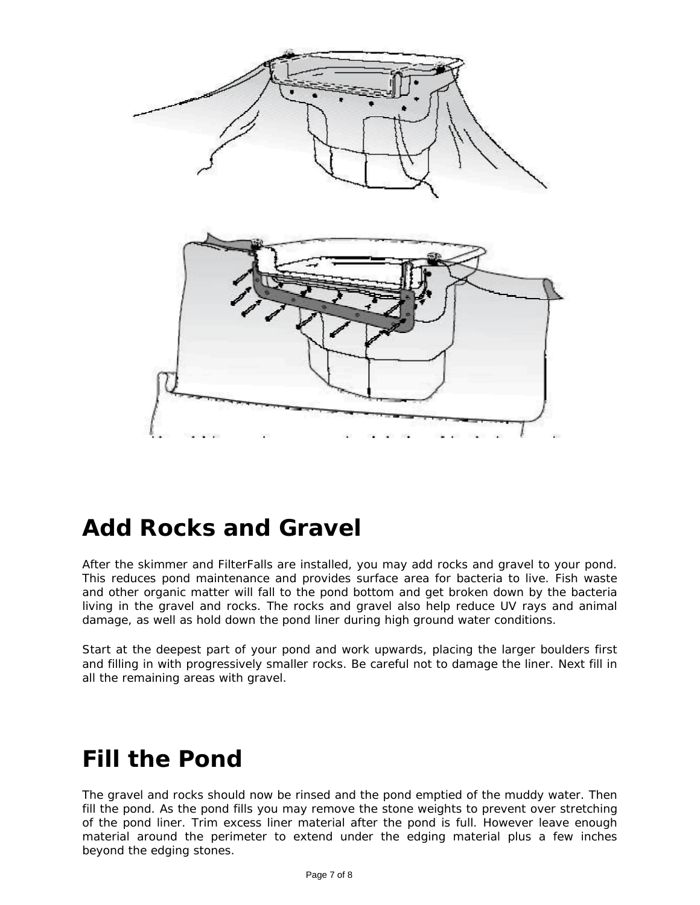

#### **Add Rocks and Gravel**

After the skimmer and FilterFalls are installed, you may add rocks and gravel to your pond. This reduces pond maintenance and provides surface area for bacteria to live. Fish waste and other organic matter will fall to the pond bottom and get broken down by the bacteria living in the gravel and rocks. The rocks and gravel also help reduce UV rays and animal damage, as well as hold down the pond liner during high ground water conditions.

Start at the deepest part of your pond and work upwards, placing the larger boulders first and filling in with progressively smaller rocks. Be careful not to damage the liner. Next fill in all the remaining areas with gravel.

#### **Fill the Pond**

The gravel and rocks should now be rinsed and the pond emptied of the muddy water. Then fill the pond. As the pond fills you may remove the stone weights to prevent over stretching of the pond liner. Trim excess liner material after the pond is full. However leave enough material around the perimeter to extend under the edging material plus a few inches beyond the edging stones.